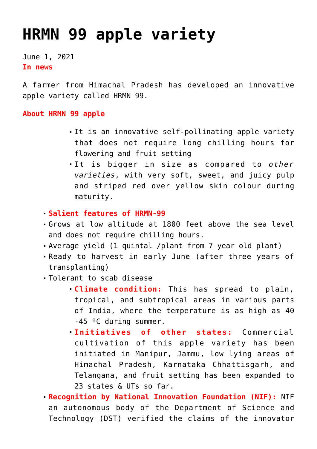## **[HRMN 99 apple variety](https://journalsofindia.com/hrmn-99-apple-variety/)**

June 1, 2021 **In news** 

A farmer from Himachal Pradesh has developed an innovative apple variety called HRMN 99.

## **About HRMN 99 apple**

- It is an innovative self-pollinating apple variety that does not require long chilling hours for flowering and fruit setting
- It is bigger in size as compared to *other varieties*, with very soft, sweet, and juicy pulp and striped red over yellow skin colour during maturity.
- **Salient features of HRMN-99**
- Grows at low altitude at 1800 feet above the sea level and does not require chilling hours.
- Average yield (1 quintal /plant from 7 year old plant)
- Ready to harvest in early June (after three years of transplanting)
- Tolerant to scab disease
	- **Climate condition:** This has spread to plain, tropical, and subtropical areas in various parts of India, where the temperature is as high as 40 -45 ºC during summer.
	- **Initiatives of other states:** Commercial cultivation of this apple variety has been initiated in Manipur, Jammu, low lying areas of Himachal Pradesh, Karnataka Chhattisgarh, and Telangana, and fruit setting has been expanded to 23 states & UTs so far.

**Recognition by National Innovation Foundation (NIF):** NIF an autonomous body of the Department of Science and Technology (DST) verified the claims of the innovator